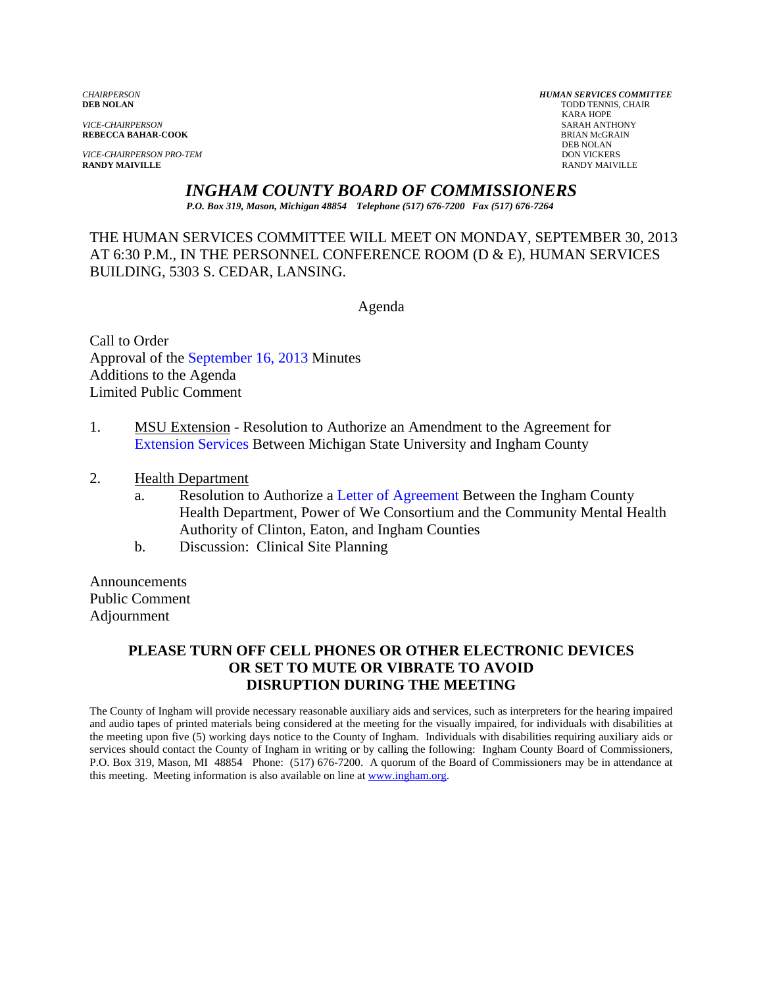*VICE-CHAIRPERSON* SARAH ANTHONY

*VICE-CHAIRPERSON PRO-TEM* DON VICKERS **RANDY MAIVILLE** RANDY MAIVILLE

*CHAIRPERSON HUMAN SERVICES COMMITTEE* TODD TENNIS, CHAIR<br>KARA HOPE KARA HOPE **REBECCA BAHAR-COOK**<br>BRIAN McGR<br>DEB NOLAN DEB NOLAN

*INGHAM COUNTY BOARD OF COMMISSIONERS* 

*P.O. Box 319, Mason, Michigan 48854 Telephone (517) 676-7200 Fax (517) 676-7264*

THE HUMAN SERVICES COMMITTEE WILL MEET ON MONDAY, SEPTEMBER 30, 2013 AT 6:30 P.M., IN THE PERSONNEL CONFERENCE ROOM (D & E), HUMAN SERVICES BUILDING, 5303 S. CEDAR, LANSING.

Agenda

Call to Order Approval of [the September 16, 2013 Minutes](#page-1-0)  Additions to the Agenda Limited Public Comment

- 1. MSU Extension Resolution to Authorize an Amendment to the Agreement for [Extension Services Betwe](#page-6-0)en Michigan State University and Ingham County
- 2. Health Department
	- a. Resolution to Authoriz[e a Letter of Agreement Between t](#page-9-0)he Ingham County Health Department, Power of We Consortium and the Community Mental Health Authority of Clinton, Eaton, and Ingham Counties
	- b. Discussion: Clinical Site Planning

Announcements Public Comment Adjournment

# **PLEASE TURN OFF CELL PHONES OR OTHER ELECTRONIC DEVICES OR SET TO MUTE OR VIBRATE TO AVOID DISRUPTION DURING THE MEETING**

The County of Ingham will provide necessary reasonable auxiliary aids and services, such as interpreters for the hearing impaired and audio tapes of printed materials being considered at the meeting for the visually impaired, for individuals with disabilities at the meeting upon five (5) working days notice to the County of Ingham. Individuals with disabilities requiring auxiliary aids or services should contact the County of Ingham in writing or by calling the following: Ingham County Board of Commissioners, P.O. Box 319, Mason, MI 48854 Phone: (517) 676-7200. A quorum of the Board of Commissioners may be in attendance at this meeting. Meeting information is also available on line at www.ingham.org.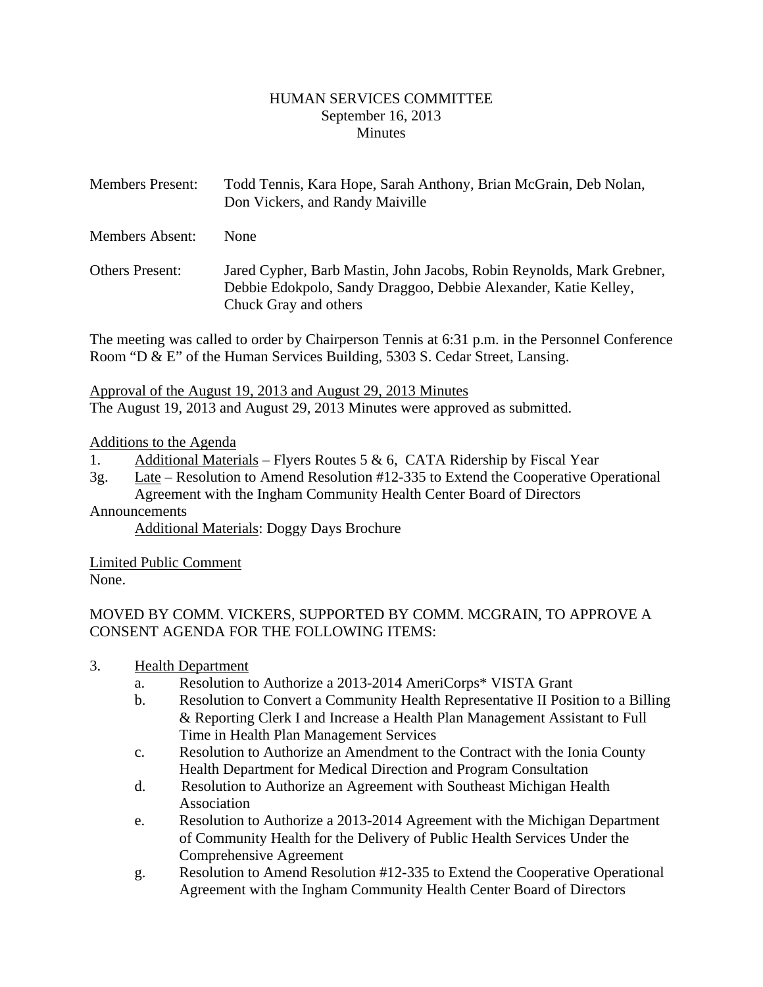#### HUMAN SERVICES COMMITTEE September 16, 2013 **Minutes**

<span id="page-1-0"></span>

| <b>Members Present:</b> | Todd Tennis, Kara Hope, Sarah Anthony, Brian McGrain, Deb Nolan,<br>Don Vickers, and Randy Maiville |
|-------------------------|-----------------------------------------------------------------------------------------------------|
| <b>Members Absent:</b>  | <b>None</b>                                                                                         |
| <b>Others Present:</b>  | Jared Cypher, Barb Mastin, John Jacobs, Robin Reynolds, Mark Grebner,                               |

Debbie Edokpolo, Sandy Draggoo, Debbie Alexander, Katie Kelley, Chuck Gray and others

The meeting was called to order by Chairperson Tennis at 6:31 p.m. in the Personnel Conference Room "D & E" of the Human Services Building, 5303 S. Cedar Street, Lansing.

Approval of the August 19, 2013 and August 29, 2013 Minutes The August 19, 2013 and August 29, 2013 Minutes were approved as submitted.

### Additions to the Agenda

- 1. Additional Materials Flyers Routes 5 & 6, CATA Ridership by Fiscal Year
- 3g. Late Resolution to Amend Resolution #12-335 to Extend the Cooperative Operational Agreement with the Ingham Community Health Center Board of Directors

# Announcements

Additional Materials: Doggy Days Brochure

Limited Public Comment None.

MOVED BY COMM. VICKERS, SUPPORTED BY COMM. MCGRAIN, TO APPROVE A CONSENT AGENDA FOR THE FOLLOWING ITEMS:

- 3. Health Department
	- a. Resolution to Authorize a 2013-2014 AmeriCorps\* VISTA Grant
	- b. Resolution to Convert a Community Health Representative II Position to a Billing & Reporting Clerk I and Increase a Health Plan Management Assistant to Full Time in Health Plan Management Services
	- c. Resolution to Authorize an Amendment to the Contract with the Ionia County Health Department for Medical Direction and Program Consultation
	- d. Resolution to Authorize an Agreement with Southeast Michigan Health Association
	- e. Resolution to Authorize a 2013-2014 Agreement with the Michigan Department of Community Health for the Delivery of Public Health Services Under the Comprehensive Agreement
	- g. Resolution to Amend Resolution #12-335 to Extend the Cooperative Operational Agreement with the Ingham Community Health Center Board of Directors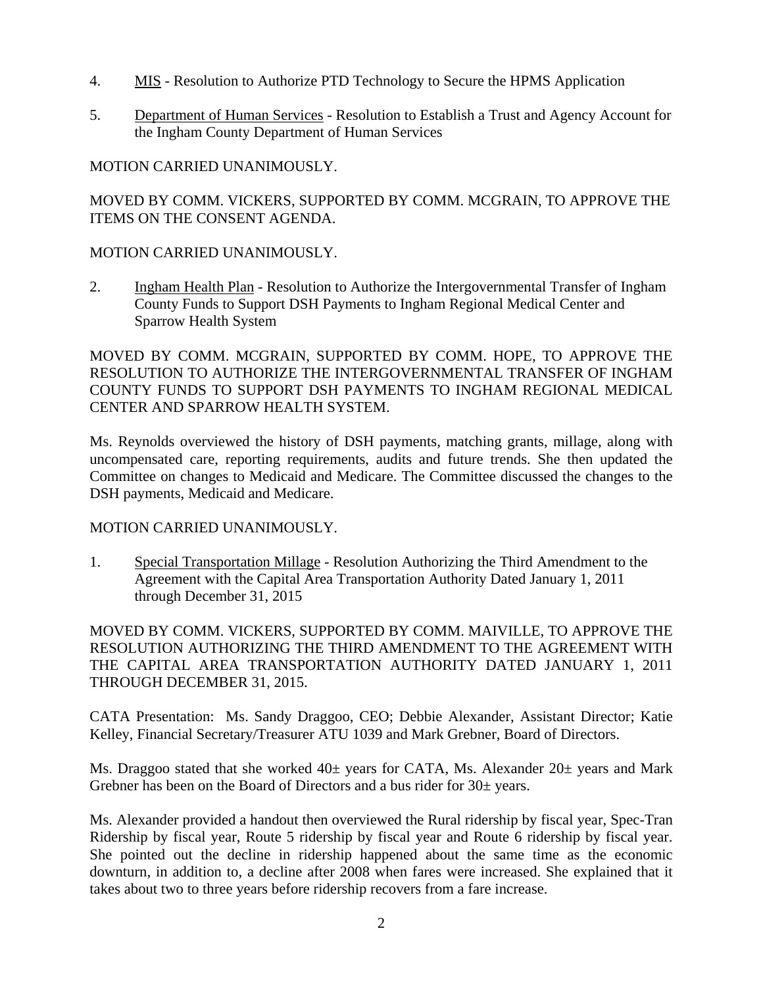- 4. MIS Resolution to Authorize PTD Technology to Secure the HPMS Application
- 5. Department of Human Services Resolution to Establish a Trust and Agency Account for the Ingham County Department of Human Services

## MOTION CARRIED UNANIMOUSLY.

MOVED BY COMM. VICKERS, SUPPORTED BY COMM. MCGRAIN, TO APPROVE THE ITEMS ON THE CONSENT AGENDA.

### MOTION CARRIED UNANIMOUSLY.

2. Ingham Health Plan - Resolution to Authorize the Intergovernmental Transfer of Ingham County Funds to Support DSH Payments to Ingham Regional Medical Center and Sparrow Health System

MOVED BY COMM. MCGRAIN, SUPPORTED BY COMM. HOPE, TO APPROVE THE RESOLUTION TO AUTHORIZE THE INTERGOVERNMENTAL TRANSFER OF INGHAM COUNTY FUNDS TO SUPPORT DSH PAYMENTS TO INGHAM REGIONAL MEDICAL CENTER AND SPARROW HEALTH SYSTEM.

Ms. Reynolds overviewed the history of DSH payments, matching grants, millage, along with uncompensated care, reporting requirements, audits and future trends. She then updated the Committee on changes to Medicaid and Medicare. The Committee discussed the changes to the DSH payments, Medicaid and Medicare.

# MOTION CARRIED UNANIMOUSLY.

1. Special Transportation Millage - Resolution Authorizing the Third Amendment to the Agreement with the Capital Area Transportation Authority Dated January 1, 2011 through December 31, 2015

MOVED BY COMM. VICKERS, SUPPORTED BY COMM. MAIVILLE, TO APPROVE THE RESOLUTION AUTHORIZING THE THIRD AMENDMENT TO THE AGREEMENT WITH THE CAPITAL AREA TRANSPORTATION AUTHORITY DATED JANUARY 1, 2011 THROUGH DECEMBER 31, 2015.

CATA Presentation: Ms. Sandy Draggoo, CEO; Debbie Alexander, Assistant Director; Katie Kelley, Financial Secretary/Treasurer ATU 1039 and Mark Grebner, Board of Directors.

Ms. Draggoo stated that she worked  $40\pm$  years for CATA, Ms. Alexander  $20\pm$  years and Mark Grebner has been on the Board of Directors and a bus rider for  $30\pm$  years.

Ms. Alexander provided a handout then overviewed the Rural ridership by fiscal year, Spec-Tran Ridership by fiscal year, Route 5 ridership by fiscal year and Route 6 ridership by fiscal year. She pointed out the decline in ridership happened about the same time as the economic downturn, in addition to, a decline after 2008 when fares were increased. She explained that it takes about two to three years before ridership recovers from a fare increase.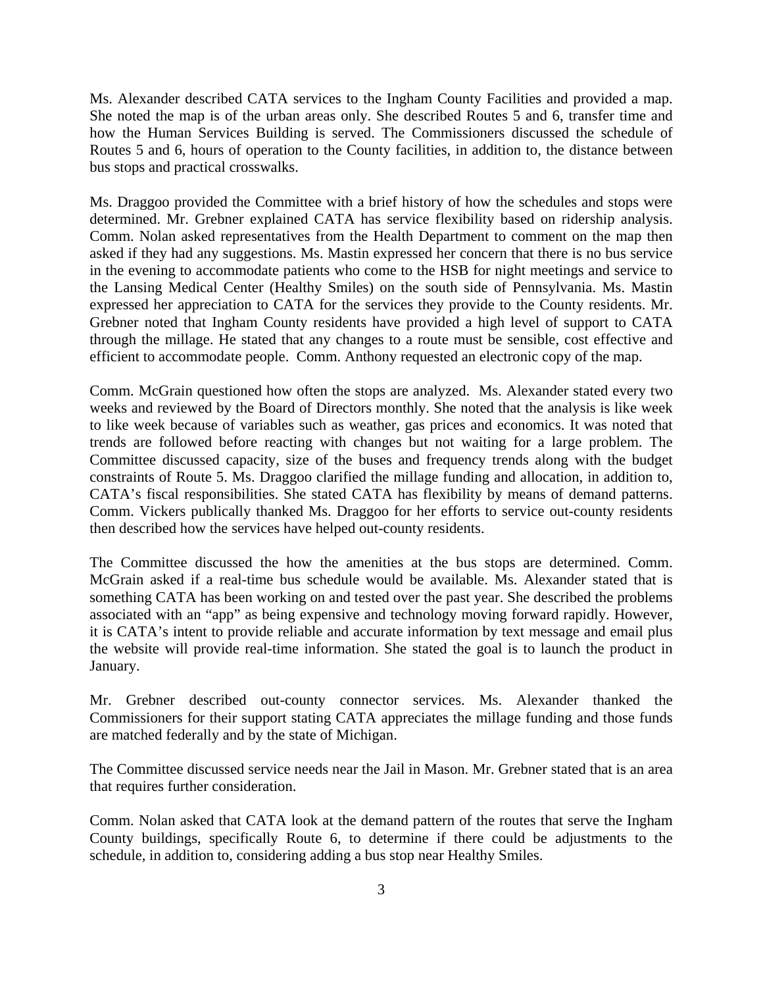Ms. Alexander described CATA services to the Ingham County Facilities and provided a map. She noted the map is of the urban areas only. She described Routes 5 and 6, transfer time and how the Human Services Building is served. The Commissioners discussed the schedule of Routes 5 and 6, hours of operation to the County facilities, in addition to, the distance between bus stops and practical crosswalks.

Ms. Draggoo provided the Committee with a brief history of how the schedules and stops were determined. Mr. Grebner explained CATA has service flexibility based on ridership analysis. Comm. Nolan asked representatives from the Health Department to comment on the map then asked if they had any suggestions. Ms. Mastin expressed her concern that there is no bus service in the evening to accommodate patients who come to the HSB for night meetings and service to the Lansing Medical Center (Healthy Smiles) on the south side of Pennsylvania. Ms. Mastin expressed her appreciation to CATA for the services they provide to the County residents. Mr. Grebner noted that Ingham County residents have provided a high level of support to CATA through the millage. He stated that any changes to a route must be sensible, cost effective and efficient to accommodate people. Comm. Anthony requested an electronic copy of the map.

Comm. McGrain questioned how often the stops are analyzed. Ms. Alexander stated every two weeks and reviewed by the Board of Directors monthly. She noted that the analysis is like week to like week because of variables such as weather, gas prices and economics. It was noted that trends are followed before reacting with changes but not waiting for a large problem. The Committee discussed capacity, size of the buses and frequency trends along with the budget constraints of Route 5. Ms. Draggoo clarified the millage funding and allocation, in addition to, CATA's fiscal responsibilities. She stated CATA has flexibility by means of demand patterns. Comm. Vickers publically thanked Ms. Draggoo for her efforts to service out-county residents then described how the services have helped out-county residents.

The Committee discussed the how the amenities at the bus stops are determined. Comm. McGrain asked if a real-time bus schedule would be available. Ms. Alexander stated that is something CATA has been working on and tested over the past year. She described the problems associated with an "app" as being expensive and technology moving forward rapidly. However, it is CATA's intent to provide reliable and accurate information by text message and email plus the website will provide real-time information. She stated the goal is to launch the product in January.

Mr. Grebner described out-county connector services. Ms. Alexander thanked the Commissioners for their support stating CATA appreciates the millage funding and those funds are matched federally and by the state of Michigan.

The Committee discussed service needs near the Jail in Mason. Mr. Grebner stated that is an area that requires further consideration.

Comm. Nolan asked that CATA look at the demand pattern of the routes that serve the Ingham County buildings, specifically Route 6, to determine if there could be adjustments to the schedule, in addition to, considering adding a bus stop near Healthy Smiles.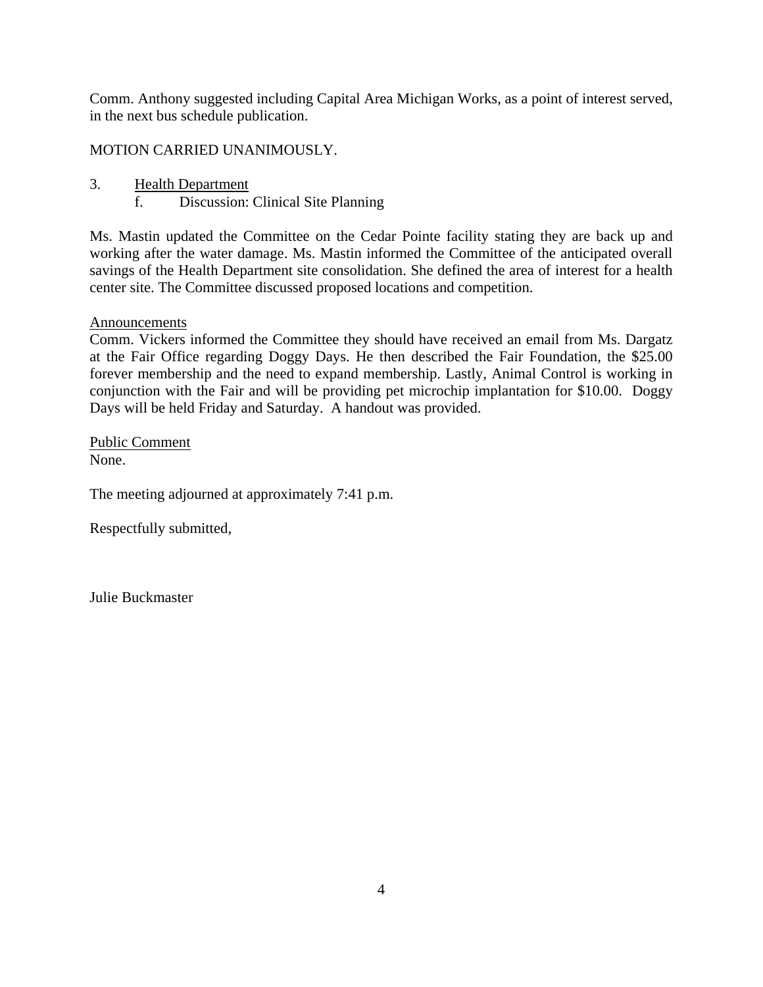Comm. Anthony suggested including Capital Area Michigan Works, as a point of interest served, in the next bus schedule publication.

MOTION CARRIED UNANIMOUSLY.

- 3. Health Department
	- f. Discussion: Clinical Site Planning

Ms. Mastin updated the Committee on the Cedar Pointe facility stating they are back up and working after the water damage. Ms. Mastin informed the Committee of the anticipated overall savings of the Health Department site consolidation. She defined the area of interest for a health center site. The Committee discussed proposed locations and competition.

### **Announcements**

Comm. Vickers informed the Committee they should have received an email from Ms. Dargatz at the Fair Office regarding Doggy Days. He then described the Fair Foundation, the \$25.00 forever membership and the need to expand membership. Lastly, Animal Control is working in conjunction with the Fair and will be providing pet microchip implantation for \$10.00. Doggy Days will be held Friday and Saturday. A handout was provided.

Public Comment None.

The meeting adjourned at approximately 7:41 p.m.

Respectfully submitted,

Julie Buckmaster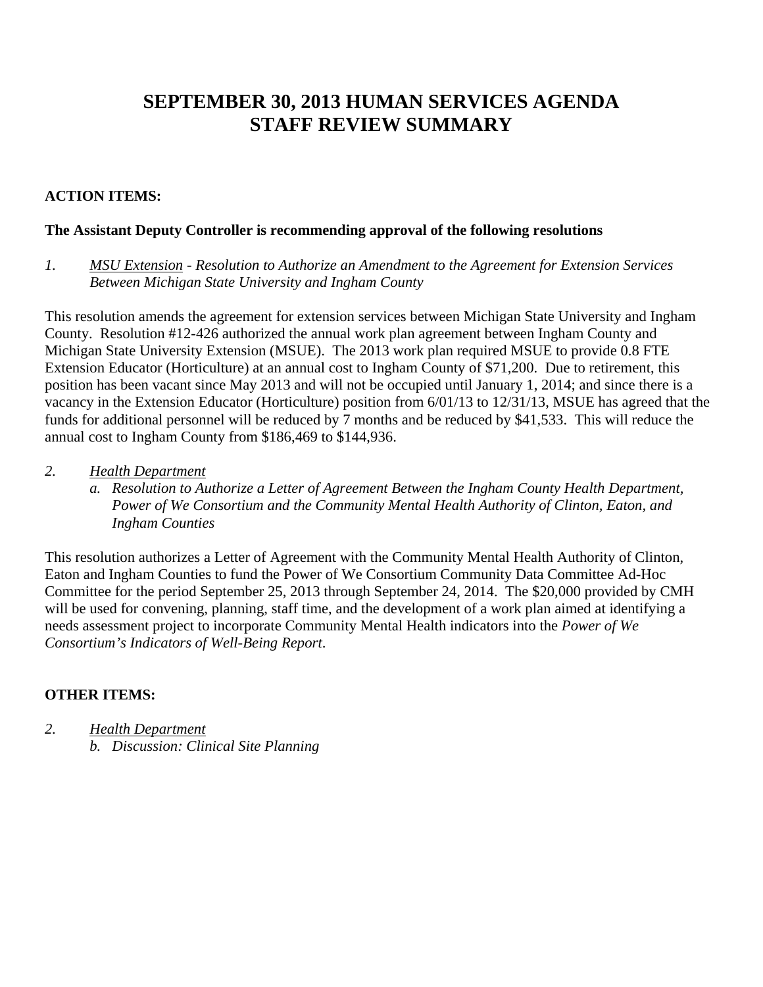# **SEPTEMBER 30, 2013 HUMAN SERVICES AGENDA STAFF REVIEW SUMMARY**

# **ACTION ITEMS:**

### **The Assistant Deputy Controller is recommending approval of the following resolutions**

*1. MSU Extension - Resolution to Authorize an Amendment to the Agreement for Extension Services Between Michigan State University and Ingham County* 

This resolution amends the agreement for extension services between Michigan State University and Ingham County. Resolution #12-426 authorized the annual work plan agreement between Ingham County and Michigan State University Extension (MSUE). The 2013 work plan required MSUE to provide 0.8 FTE Extension Educator (Horticulture) at an annual cost to Ingham County of \$71,200. Due to retirement, this position has been vacant since May 2013 and will not be occupied until January 1, 2014; and since there is a vacancy in the Extension Educator (Horticulture) position from 6/01/13 to 12/31/13, MSUE has agreed that the funds for additional personnel will be reduced by 7 months and be reduced by \$41,533. This will reduce the annual cost to Ingham County from \$186,469 to \$144,936.

- *2. Health Department*
	- *a. Resolution to Authorize a Letter of Agreement Between the Ingham County Health Department, Power of We Consortium and the Community Mental Health Authority of Clinton, Eaton, and Ingham Counties*

This resolution authorizes a Letter of Agreement with the Community Mental Health Authority of Clinton, Eaton and Ingham Counties to fund the Power of We Consortium Community Data Committee Ad-Hoc Committee for the period September 25, 2013 through September 24, 2014. The \$20,000 provided by CMH will be used for convening, planning, staff time, and the development of a work plan aimed at identifying a needs assessment project to incorporate Community Mental Health indicators into the *Power of We Consortium's Indicators of Well-Being Report*.

# **OTHER ITEMS:**

*2. Health Department b. Discussion: Clinical Site Planning*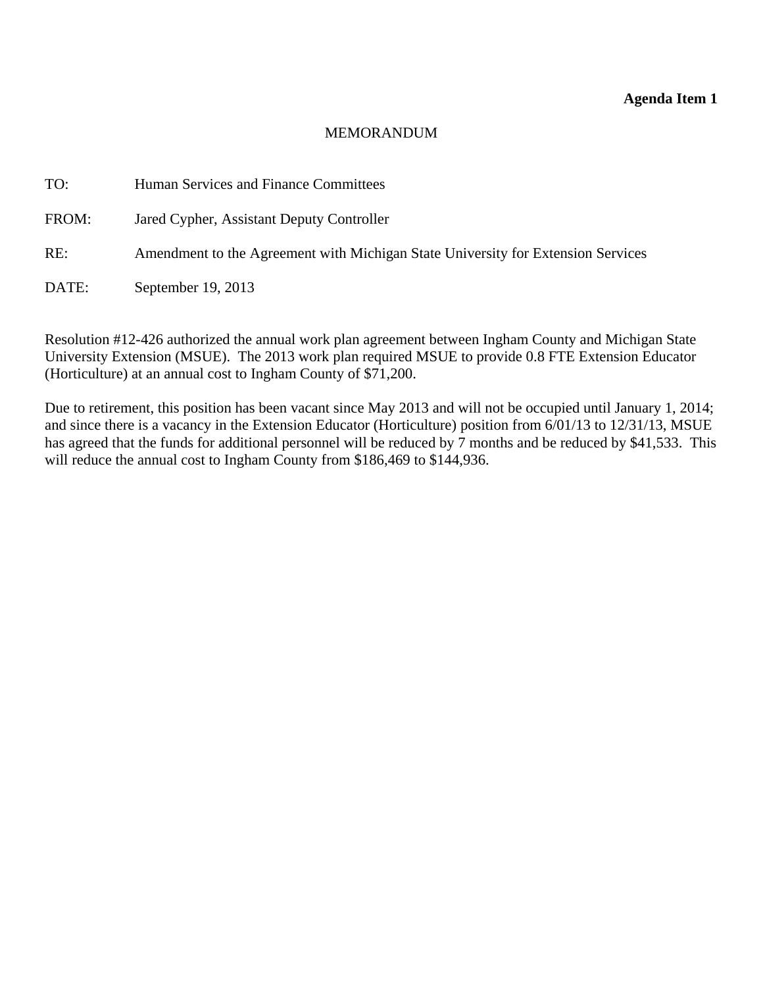#### **Agenda Item 1**

#### MEMORANDUM

<span id="page-6-0"></span>TO: Human Services and Finance Committees FROM: Jared Cypher, Assistant Deputy Controller RE: Amendment to the Agreement with Michigan State University for Extension Services DATE: September 19, 2013

Resolution #12-426 authorized the annual work plan agreement between Ingham County and Michigan State University Extension (MSUE). The 2013 work plan required MSUE to provide 0.8 FTE Extension Educator (Horticulture) at an annual cost to Ingham County of \$71,200.

Due to retirement, this position has been vacant since May 2013 and will not be occupied until January 1, 2014; and since there is a vacancy in the Extension Educator (Horticulture) position from 6/01/13 to 12/31/13, MSUE has agreed that the funds for additional personnel will be reduced by 7 months and be reduced by \$41,533. This will reduce the annual cost to Ingham County from \$186,469 to \$144,936.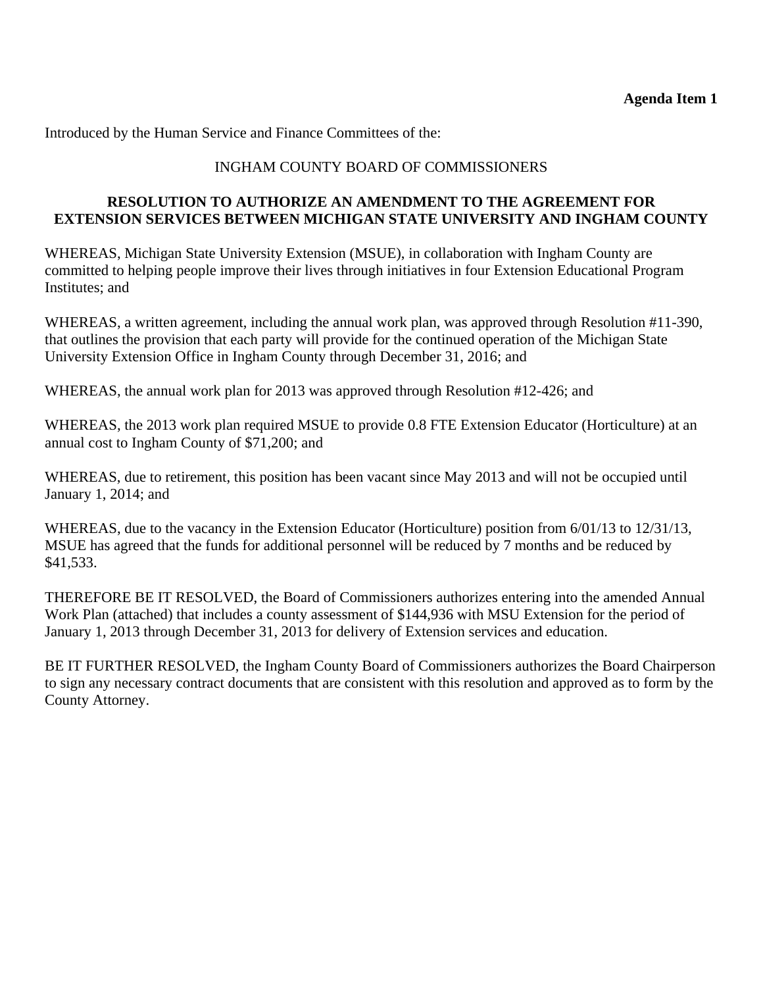Introduced by the Human Service and Finance Committees of the:

# INGHAM COUNTY BOARD OF COMMISSIONERS

### **RESOLUTION TO AUTHORIZE AN AMENDMENT TO THE AGREEMENT FOR EXTENSION SERVICES BETWEEN MICHIGAN STATE UNIVERSITY AND INGHAM COUNTY**

WHEREAS, Michigan State University Extension (MSUE), in collaboration with Ingham County are committed to helping people improve their lives through initiatives in four Extension Educational Program Institutes; and

WHEREAS, a written agreement, including the annual work plan, was approved through Resolution #11-390, that outlines the provision that each party will provide for the continued operation of the Michigan State University Extension Office in Ingham County through December 31, 2016; and

WHEREAS, the annual work plan for 2013 was approved through Resolution #12-426; and

WHEREAS, the 2013 work plan required MSUE to provide 0.8 FTE Extension Educator (Horticulture) at an annual cost to Ingham County of \$71,200; and

WHEREAS, due to retirement, this position has been vacant since May 2013 and will not be occupied until January 1, 2014; and

WHEREAS, due to the vacancy in the Extension Educator (Horticulture) position from 6/01/13 to 12/31/13, MSUE has agreed that the funds for additional personnel will be reduced by 7 months and be reduced by \$41,533.

THEREFORE BE IT RESOLVED, the Board of Commissioners authorizes entering into the amended Annual Work Plan (attached) that includes a county assessment of \$144,936 with MSU Extension for the period of January 1, 2013 through December 31, 2013 for delivery of Extension services and education.

BE IT FURTHER RESOLVED, the Ingham County Board of Commissioners authorizes the Board Chairperson to sign any necessary contract documents that are consistent with this resolution and approved as to form by the County Attorney.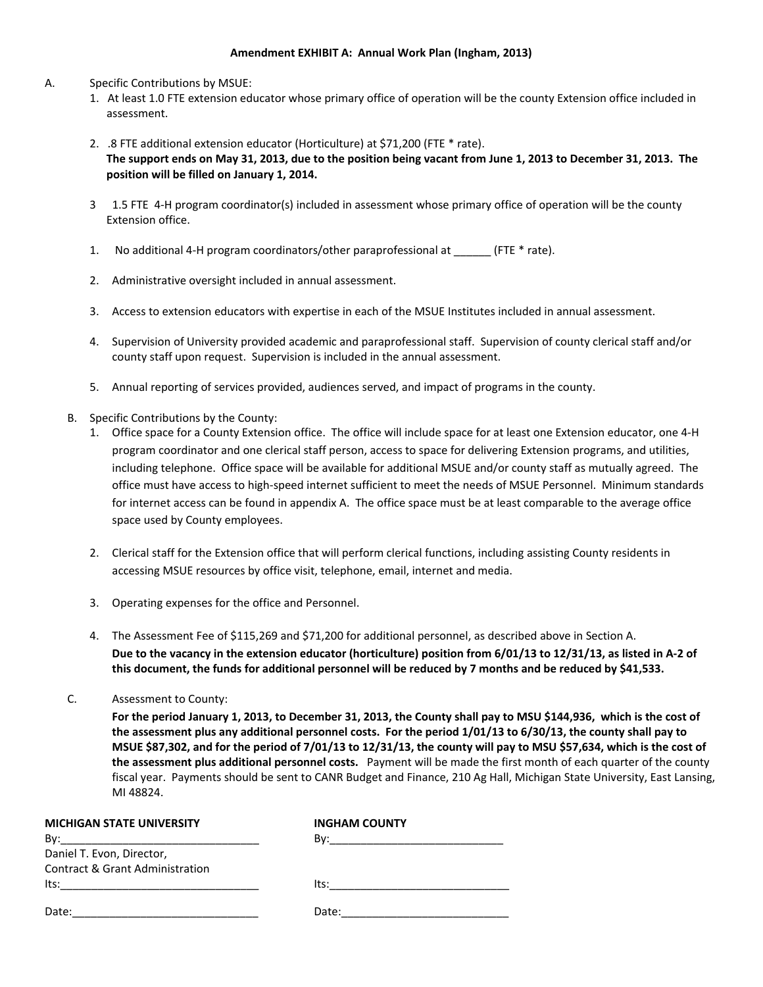#### **Amendment EXHIBIT A: Annual Work Plan (Ingham, 2013)**

#### A. Specific Contributions by MSUE:

- 1. At least 1.0 FTE extension educator whose primary office of operation will be the county Extension office included in assessment.
- 2. .8 FTE additional extension educator (Horticulture) at \$71,200 (FTE \* rate). The support ends on May 31, 2013, due to the position being vacant from June 1, 2013 to December 31, 2013. The **position will be filled on January 1, 2014.**
- 3 1.5 FTE 4‐H program coordinator(s) included in assessment whose primary office of operation will be the county Extension office.
- 1. No additional 4-H program coordinators/other paraprofessional at  $(FTE^*$  rate).
- 2. Administrative oversight included in annual assessment.
- 3. Access to extension educators with expertise in each of the MSUE Institutes included in annual assessment.
- 4. Supervision of University provided academic and paraprofessional staff. Supervision of county clerical staff and/or county staff upon request. Supervision is included in the annual assessment.
- 5. Annual reporting of services provided, audiences served, and impact of programs in the county.
- B. Specific Contributions by the County:
	- 1. Office space for a County Extension office. The office will include space for at least one Extension educator, one 4‐H program coordinator and one clerical staff person, access to space for delivering Extension programs, and utilities, including telephone. Office space will be available for additional MSUE and/or county staff as mutually agreed. The office must have access to high‐speed internet sufficient to meet the needs of MSUE Personnel. Minimum standards for internet access can be found in appendix A. The office space must be at least comparable to the average office space used by County employees.
	- 2. Clerical staff for the Extension office that will perform clerical functions, including assisting County residents in accessing MSUE resources by office visit, telephone, email, internet and media.
	- 3. Operating expenses for the office and Personnel.
	- 4. The Assessment Fee of \$115,269 and \$71,200 for additional personnel, as described above in Section A. Due to the vacancy in the extension educator (horticulture) position from 6/01/13 to 12/31/13, as listed in A-2 of this document, the funds for additional personnel will be reduced by 7 months and be reduced by \$41,533.
- C. Assessment to County:

For the period January 1, 2013, to December 31, 2013, the County shall pay to MSU \$144,936, which is the cost of the assessment plus any additional personnel costs. For the period 1/01/13 to 6/30/13, the county shall pay to MSUE \$87,302, and for the period of 7/01/13 to 12/31/13, the county will pay to MSU \$57,634, which is the cost of **the assessment plus additional personnel costs.** Payment will be made the first month of each quarter of the county fiscal year. Payments should be sent to CANR Budget and Finance, 210 Ag Hall, Michigan State University, East Lansing, MI 48824.

| <b>MICHIGAN STATE UNIVERSITY</b>           | <b>INGHAM COUNTY</b>                                                                                            |
|--------------------------------------------|-----------------------------------------------------------------------------------------------------------------|
|                                            | By: 2008 2014 2015 2016 2017 2018 2019 2020 2021 2021 2022 2023 2024 2022 2023 2024 2025 2026 2027 2028 2021 20 |
| Daniel T. Evon, Director,                  |                                                                                                                 |
| <b>Contract &amp; Grant Administration</b> |                                                                                                                 |
| Its:                                       | lts:<br><u> 1980 - Jan Barbara, manazarta da kasas da shekara 1980 - An an A</u>                                |
| Date:                                      | Date:                                                                                                           |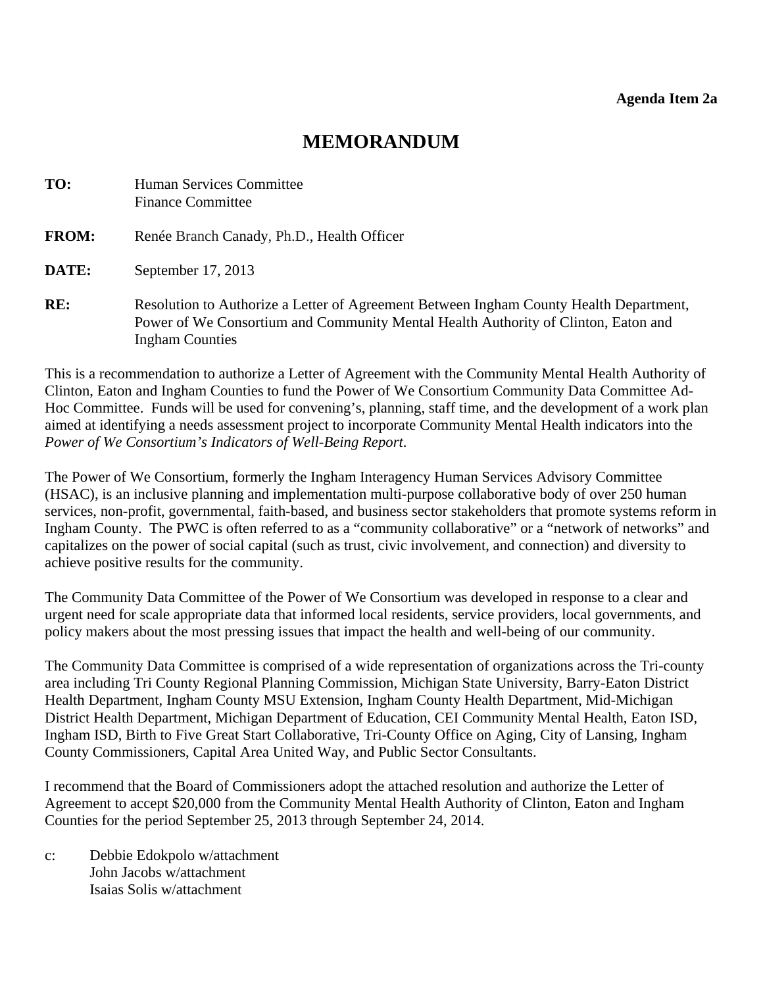# **MEMORANDUM**

<span id="page-9-0"></span>

| TO:          | <b>Human Services Committee</b><br><b>Finance Committee</b>                                                                                                                                            |
|--------------|--------------------------------------------------------------------------------------------------------------------------------------------------------------------------------------------------------|
| <b>FROM:</b> | Renée Branch Canady, Ph.D., Health Officer                                                                                                                                                             |
| DATE:        | September 17, 2013                                                                                                                                                                                     |
| RE:          | Resolution to Authorize a Letter of Agreement Between Ingham County Health Department,<br>Power of We Consortium and Community Mental Health Authority of Clinton, Eaton and<br><b>Ingham Counties</b> |

This is a recommendation to authorize a Letter of Agreement with the Community Mental Health Authority of Clinton, Eaton and Ingham Counties to fund the Power of We Consortium Community Data Committee Ad-Hoc Committee. Funds will be used for convening's, planning, staff time, and the development of a work plan aimed at identifying a needs assessment project to incorporate Community Mental Health indicators into the *Power of We Consortium's Indicators of Well-Being Report*.

The Power of We Consortium, formerly the Ingham Interagency Human Services Advisory Committee (HSAC), is an inclusive planning and implementation multi-purpose collaborative body of over 250 human services, non-profit, governmental, faith-based, and business sector stakeholders that promote systems reform in Ingham County. The PWC is often referred to as a "community collaborative" or a "network of networks" and capitalizes on the power of social capital (such as trust, civic involvement, and connection) and diversity to achieve positive results for the community.

The Community Data Committee of the Power of We Consortium was developed in response to a clear and urgent need for scale appropriate data that informed local residents, service providers, local governments, and policy makers about the most pressing issues that impact the health and well-being of our community.

The Community Data Committee is comprised of a wide representation of organizations across the Tri-county area including Tri County Regional Planning Commission, Michigan State University, Barry-Eaton District Health Department, Ingham County MSU Extension, Ingham County Health Department, Mid-Michigan District Health Department, Michigan Department of Education, CEI Community Mental Health, Eaton ISD, Ingham ISD, Birth to Five Great Start Collaborative, Tri-County Office on Aging, City of Lansing, Ingham County Commissioners, Capital Area United Way, and Public Sector Consultants.

I recommend that the Board of Commissioners adopt the attached resolution and authorize the Letter of Agreement to accept \$20,000 from the Community Mental Health Authority of Clinton, Eaton and Ingham Counties for the period September 25, 2013 through September 24, 2014.

c: Debbie Edokpolo w/attachment John Jacobs w/attachment Isaias Solis w/attachment